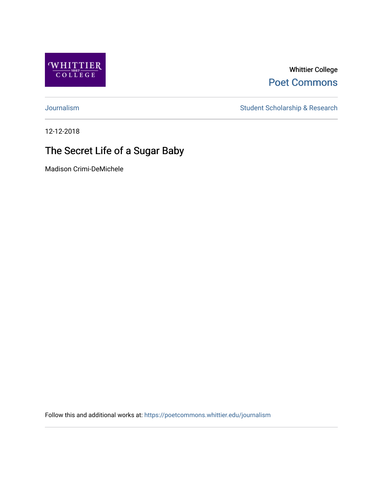

Whittier College [Poet Commons](https://poetcommons.whittier.edu/) 

[Journalism](https://poetcommons.whittier.edu/journalism) Student Scholarship & Research

12-12-2018

#### The Secret Life of a Sugar Baby

Madison Crimi-DeMichele

Follow this and additional works at: [https://poetcommons.whittier.edu/journalism](https://poetcommons.whittier.edu/journalism?utm_source=poetcommons.whittier.edu%2Fjournalism%2F12&utm_medium=PDF&utm_campaign=PDFCoverPages)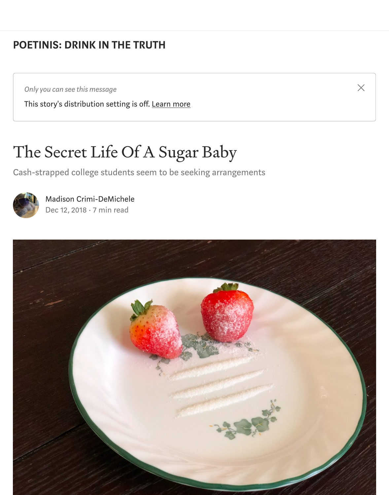#### [POETINIS: DRINK IN THE TRUTH](https://medium.com/engl-201?source=post_page-----1e024bc3acfd----------------------)

*Only you can see this message*

This story's distribution setting is off. [Learn more](https://help.medium.com/hc/en-us/articles/360018834334?source=post_page-----1e024bc3acfd----------------------)

### The Secret Life Of A Sugar Baby

Cash-strapped college students seem to be seeking arrangements



[Madison Crimi-DeMichele](https://medium.com/@crimidemichele.madison?source=post_page-----1e024bc3acfd----------------------) [Dec 12, 2018](https://medium.com/engl-201/the-secret-life-of-a-sugar-baby-1e024bc3acfd?source=post_page-----1e024bc3acfd----------------------) · 7 min read



 $\times$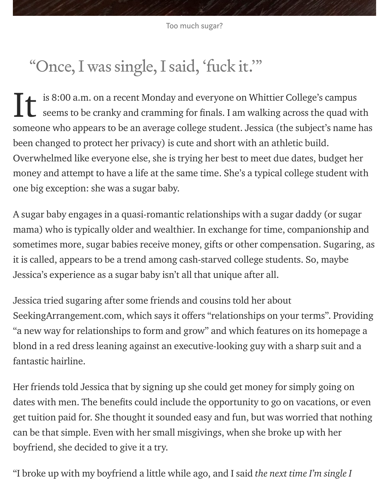## "Once, I was single, I said, 'fuck it.'"

is 8:00 a.m. on a recent Monday and everyone on Whittier College's campus seems to be cranky and cramming for finals. I am walking across the quad with someone who appears to be an average college student. Jessica (the subject's name has been changed to protect her privacy) is cute and short with an athletic build. Overwhelmed like everyone else, she is trying her best to meet due dates, budget her money and attempt to have a life at the same time. She's a typical college student with one big exception: she was a sugar baby. It

A sugar baby engages in a quasi-romantic relationships with a sugar daddy (or sugar mama) who is typically older and wealthier. In exchange for time, companionship and sometimes more, sugar babies receive money, gifts or other compensation. Sugaring, as it is called, appears to be a trend among cash-starved college students. So, maybe Jessica's experience as a sugar baby isn't all that unique after all.

Jessica tried sugaring after some friends and cousins told her about SeekingArrangement.com, which says it offers "relationships on your terms". Providing "a new way for relationships to form and grow" and which features on its homepage a blond in a red dress leaning against an executive-looking guy with a sharp suit and a fantastic hairline.

Her friends told Jessica that by signing up she could get money for simply going on dates with men. The benefits could include the opportunity to go on vacations, or even get tuition paid for. She thought it sounded easy and fun, but was worried that nothing can be that simple. Even with her small misgivings, when she broke up with her boyfriend, she decided to give it a try.

"I broke up with my boyfriend a little while ago, and I said the next time I'm single I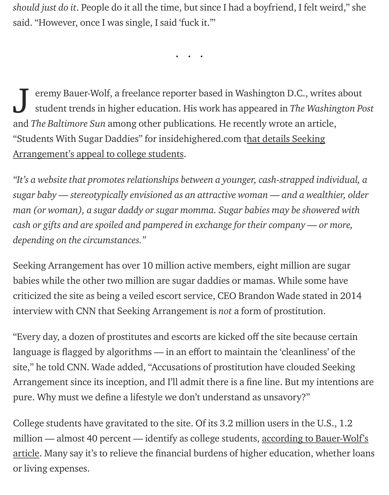should just do it. People do it all the time, but since I had a boyfriend, I felt weird," she said. "However, once I was single, I said 'fuck it.'"

...

eremy Bauer-Wolf, a freelance reporter based in Washington D.C., writes about student trends in higher education. His work has appeared in The Washington Post and The Baltimore Sun among other publications. He recently wrote an article, ["Students With Sugar Daddies" for insidehighered.com that details Seeking](https://www.insidehighered.com/news/2017/04/17/students-and-sugar-daddies-age-student-debt) Arrangement's appeal to college students. J

"It's a website that promotes relationships between a younger, cash-strapped individual, a sugar baby — stereotypically envisioned as an attractive woman — and a wealthier, older man (or woman), a sugar daddy or sugar momma. Sugar babies may be showered with cash or gifts and are spoiled and pampered in exchange for their company — or more, depending on the circumstances."

Seeking Arrangement has over 10 million active members, eight million are sugar babies while the other two million are sugar daddies or mamas. While some have criticized the site as being a veiled escort service, CEO Brandon Wade stated in 2014 interview with CNN that Seeking Arrangement is not a form of prostitution.

"Every day, a dozen of prostitutes and escorts are kicked off the site because certain language is flagged by algorithms — in an effort to maintain the 'cleanliness' of the site," he told CNN. Wade added, "Accusations of prostitution have clouded Seeking Arrangement since its inception, and I'll admit there is a fine line. But my intentions are pure. Why must we define a lifestyle we don't understand as unsavory?"

College students have gravitated to the site. Of its 3.2 million users in the U.S., 1.2 [million — almost 40 percent — identify as college students, according to Bauer-Wolf's](https://www.insidehighered.com/news/2017/04/17/students-and-sugar-daddies-age-student-debt) article. Many say it's to relieve the financial burdens of higher education, whether loans or living expenses.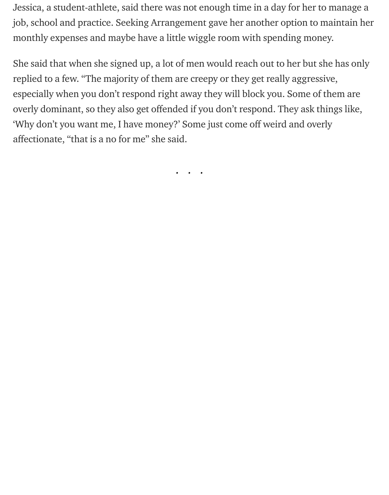Jessica, a student-athlete, said there was not enough time in a day for her to manage a job, school and practice. Seeking Arrangement gave her another option to maintain her monthly expenses and maybe have a little wiggle room with spending money.

She said that when she signed up, a lot of men would reach out to her but she has only replied to a few. "The majority of them are creepy or they get really aggressive, especially when you don't respond right away they will block you. Some of them are overly dominant, so they also get offended if you don't respond. They ask things like, 'Why don't you want me, I have money?' Some just come off weird and overly affectionate, "that is a no for me" she said.

...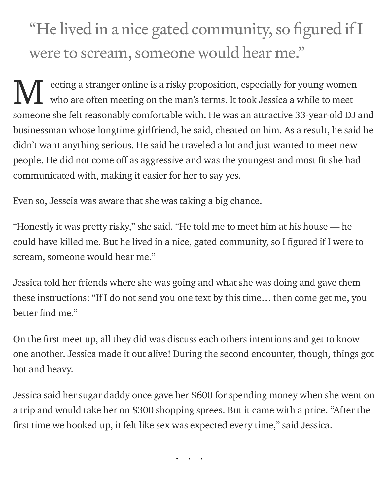# "He lived in a nice gated community, so figured if I were to scream, someone would hear me."

eeting a stranger online is a risky proposition, especially for young women who are often meeting on the man's terms. It took Jessica a while to meet someone she felt reasonably comfortable with. He was an attractive 33-year-old DJ and businessman whose longtime girlfriend, he said, cheated on him. As a result, he said he didn't want anything serious. He said he traveled a lot and just wanted to meet new people. He did not come off as aggressive and was the youngest and most fit she had communicated with, making it easier for her to say yes. M

Even so, Jesscia was aware that she was taking a big chance.

"Honestly it was pretty risky," she said. "He told me to meet him at his house — he could have killed me. But he lived in a nice, gated community, so I figured if I were to scream, someone would hear me."

Jessica told her friends where she was going and what she was doing and gave them these instructions: "If I do not send you one text by this time… then come get me, you better find me."

On the first meet up, all they did was discuss each others intentions and get to know one another. Jessica made it out alive! During the second encounter, though, things got hot and heavy.

Jessica said her sugar daddy once gave her \$600 for spending money when she went on a trip and would take her on \$300 shopping sprees. But it came with a price. "After the first time we hooked up, it felt like sex was expected every time," said Jessica.

...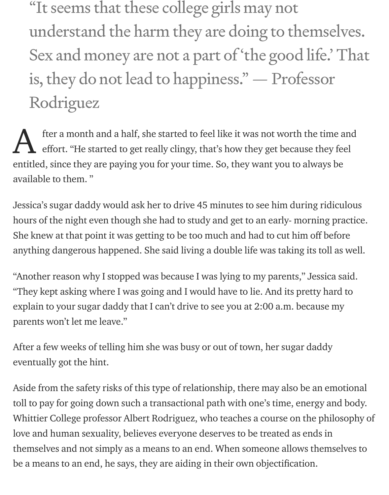"It seems that these college girls may not understand the harm they are doing to themselves. Sex and money are not a part of 'the good life.' That is, they do not lead to happiness." — Professor Rodriguez

fter a month and a half, she started to feel like it was not worth the time and effort. "He started to get really clingy, that's how they get because they feel entitled, since they are paying you for your time. So, they want you to always be available to them. " A

Jessica's sugar daddy would ask her to drive 45 minutes to see him during ridiculous hours of the night even though she had to study and get to an early- morning practice. She knew at that point it was getting to be too much and had to cut him off before anything dangerous happened. She said living a double life was taking its toll as well.

"Another reason why I stopped was because I was lying to my parents," Jessica said. "They kept asking where I was going and I would have to lie. And its pretty hard to explain to your sugar daddy that I can't drive to see you at 2:00 a.m. because my parents won't let me leave."

After a few weeks of telling him she was busy or out of town, her sugar daddy eventually got the hint.

Aside from the safety risks of this type of relationship, there may also be an emotional toll to pay for going down such a transactional path with one's time, energy and body. Whittier College professor Albert Rodriguez, who teaches a course on the philosophy of love and human sexuality, believes everyone deserves to be treated as ends in themselves and not simply as a means to an end. When someone allows themselves to be a means to an end, he says, they are aiding in their own objectification.